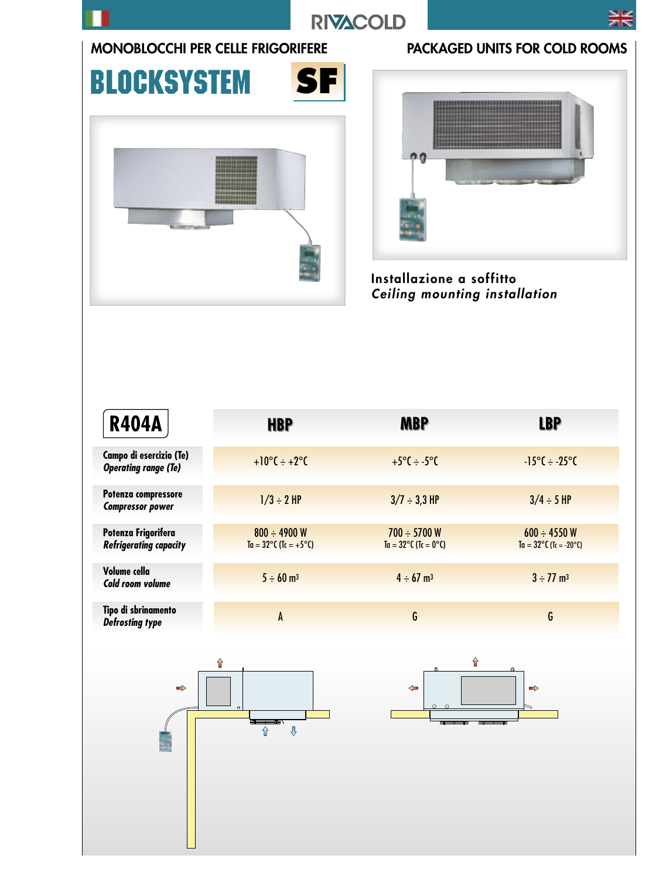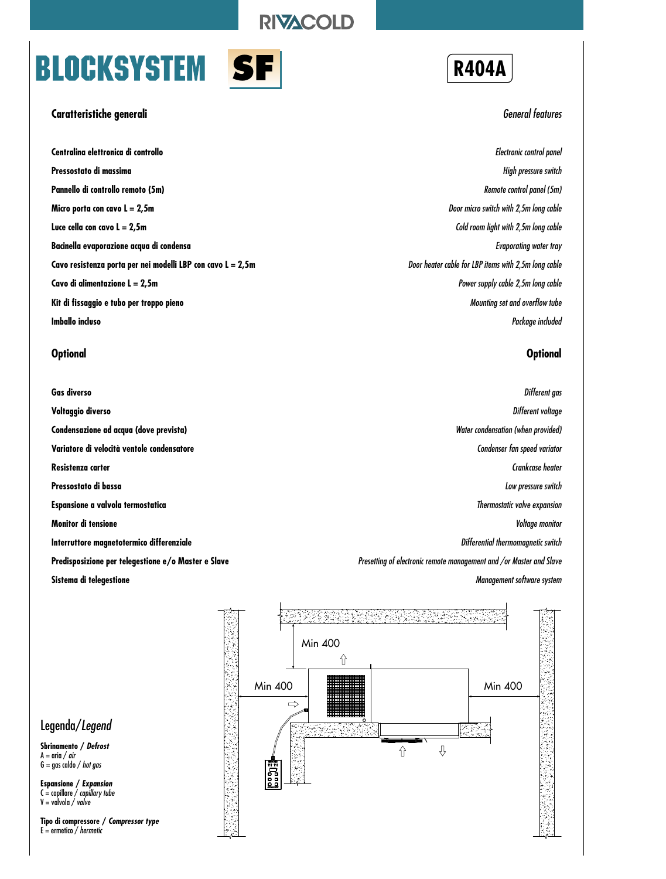### **RIVACOLD**

# **BLOCKSYSTEM** S



#### **Caratteristiche generali**

**Centralina elettronica di controllo Pressostato di massima Pannello di controllo remoto (5m) Micro porta con cavo L = 2,5m Luce cella con cavo L = 2,5m Bacinella evaporazione acqua di condensa Cavo resistenza porta per nei modelli LBP con cavo L = 2,5m Cavo di alimentazione L = 2,5m Kit di fissaggio e tubo per troppo pieno Imballo incluso**

#### **Optional**

**Gas diverso Voltaggio diverso Condensazione ad acqua (dove prevista) Variatore di velocità ventole condensatore Resistenza carter Pressostato di bassa Espansione a valvola termostatica Monitor di tensione Interruttore magnetotermico differenziale Predisposizione per telegestione e/o Master e Slave Sistema di telegestione**



#### General features

Electronic control panel High pressure switch Remote control panel (5m) Door micro switch with 2,5m long cable Cold room light with 2,5m long cable Evaporating water tray Door heater cable for LBP items with 2,5m long cable Power supply cable 2,5m long cable Mounting set and overflow tube Package included

#### **Optional**

Different gas Different voltage Water condensation (when provided) Condenser fan speed variator Crankcase heater Low pressure switch Thermostatic valve expansion Voltage monitor Differential thermomagnetic switch Presetting of electronic remote management and /or Master and Slave Management software system



#### Legenda/Legend

**Sbrinamento / Defrost**  $A = \text{aria} / \text{air}$  $G = \frac{1}{100}$  caldo / hot gas

**Espansione / Expansion** C = capillare / capillary tube  $V =$  valvola / valve

**Tipo di compressore / Compressor type**  $E =$  ermetico / hermetic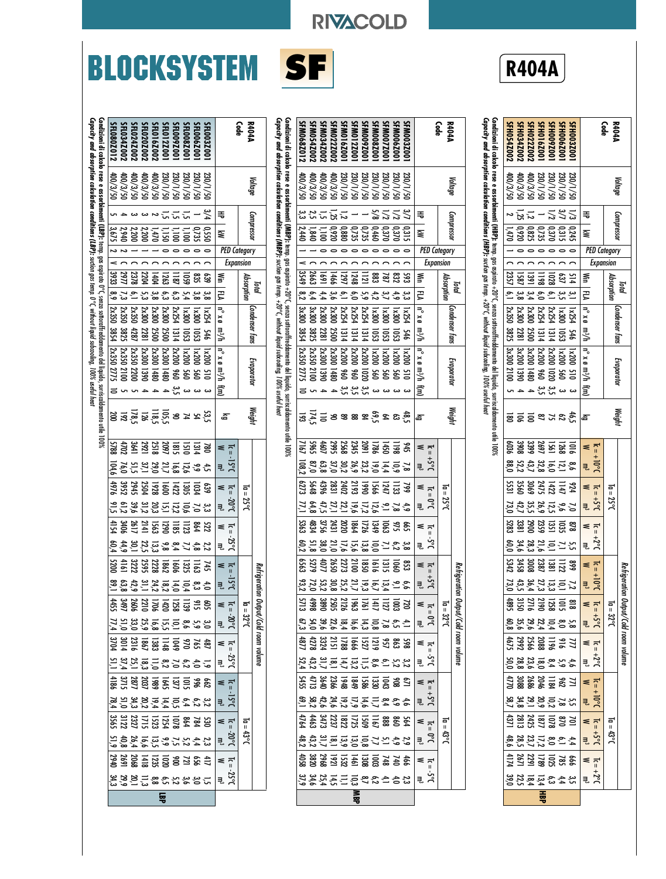## **BLOCKSYSTEM SF R404A**

 $\Omega$ 



**RIVACOLD** 

**Condizioni di calcolo rese e assorbimenti (MBP):** 

**Capacity and absorption calculation conditions (MBP):**

temp. gas aspirato +20°C, senza sottoraffreddamento del liquido, surriscaldamento utile 100%

ច្នុ  $600$ 

suction gas temp. +20°C, without liquid subcooling, 100% useful heat

Condizioni di calcolo rese e assorbimenti (MBP): temp. gas aspirato +20°C, senza sottoraffreddamento del liquido, suriscaldamento<br>Capacity and absorption calculation conditions (MBP): suction gas temp. +20°C, without liqui

| SFM054Z002<br>SFM034Z002<br>SFM016Z001<br>SFM012Z00<br>SFM009Z00<br>SFM006Z00<br>SFM0222002<br>SFM008Z00<br><b>SFM007Z00</b><br><b>SFM003Z00</b>                                                                                                                                                    | <b>R404A</b><br>Code                                  | <b>R404A</b><br>SFH054Z002<br>SFH034Z002<br>SFH009Z00<br>SFH006Z00<br>SFH016Z001<br>င်္ခရ<br>SFH003Z00<br>FH0222002                                                                                                                                                                                                                                                      |
|-----------------------------------------------------------------------------------------------------------------------------------------------------------------------------------------------------------------------------------------------------------------------------------------------------|-------------------------------------------------------|--------------------------------------------------------------------------------------------------------------------------------------------------------------------------------------------------------------------------------------------------------------------------------------------------------------------------------------------------------------------------|
| SFM068Z012                                                                                                                                                                                                                                                                                          |                                                       |                                                                                                                                                                                                                                                                                                                                                                          |
| 05/8/00#<br>0S/E/00V<br>230/1/50<br>230/1/50<br>230/1/50<br>230/1/50<br>230/1/50<br>230/1/50<br>05/8/00<br>0S/8/00#<br>230/1/50                                                                                                                                                                     | Voltage                                               | Capacity and absorption calculation conditions (HBP): suction gas temp. +20°C, without liquid subcooling, 100% useful heat<br>Cordizioni di calcolo rese e assorbimenti (HBP): temp. gas aspirato +20°C, senza sottoratfreddamento del liquido, surriscalalmento utile 100%<br>05/8/00t<br>0S/1/020<br>230/1/50<br>400/3/50<br>0S/1/30<br>ds/8/00#<br>0S/1/30<br>Voltage |
| یئ<br>منا<br>222<br>3,7<br>$\frac{1}{25}$                                                                                                                                                                                                                                                           | ₹                                                     | $\leq \frac{2}{\omega}$<br><b>្ភ</b> ក្ដី ~<br>$\overline{z}$<br>≒                                                                                                                                                                                                                                                                                                       |
| $\begin{array}{r} 0.317 \\ 0.378 \\ 0.497 \\ 0.308 \\ 0.409 \\ 0.880 \\ 0.920 \\ 0.920 \\ 0.009 \\ 0.009 \\ 0.009 \\ 0.009 \\ 0.000 \\ 0.000 \\ 0.000 \\ 0.000 \\ 0.000 \\ 0.000 \\ 0.000 \\ 0.000 \\ 0.000 \\ 0.000 \\ 0.000 \\ 0.000 \\ 0.000 \\ 0.000 \\ 0.000 \\ 0.000 \\ 0.000 \\ 0.000 \\ 0.$ | Compressor<br>₹                                       | Compressor<br>0,245<br>0,370<br>0,870<br>1,470<br>1,470<br>₹                                                                                                                                                                                                                                                                                                             |
| . 00000000                                                                                                                                                                                                                                                                                          | <b>PED Category</b>                                   | <b>PED Category</b><br>$\begin{array}{cccccccccccccc} \circ & \circ & \circ & \circ & \circ & \circ & \circ \end{array}$                                                                                                                                                                                                                                                 |
|                                                                                                                                                                                                                                                                                                     | <b>Expansion</b>                                      | <b>Expansion</b>                                                                                                                                                                                                                                                                                                                                                         |
| 3549<br>2663<br>1466<br><u>នី</u><br>និ<br>33                                                                                                                                                                                                                                                       | Š<br>Absorption<br>lotal                              | 33<br>$\overline{138}$<br>$\frac{5}{3}$ $\frac{2}{3}$<br>637<br>214<br>⋚<br>Absorption<br>lotal                                                                                                                                                                                                                                                                          |
| 4 4 5 8<br>4 4 7<br>2.28<br>4.9 <sup>2</sup><br>3,7<br>4,9                                                                                                                                                                                                                                          | È                                                     | ይ<br><u>م</u><br>2548                                                                                                                                                                                                                                                                                                                                                    |
| 2x30C<br>3x30C<br>  x300<br>1x204<br>2x254<br>2x300<br>3x300<br>У254                                                                                                                                                                                                                                | Condenser fans<br>$\mathbf{u}^{\circ}$ x $\mathbf{u}$ | <b>Condenser fans</b><br>$\mathbf{B} \times \mathbf{B}$<br>2x254<br>2x254<br>2x300<br>2×300<br>2×350<br>005<br><b>x254</b>                                                                                                                                                                                                                                               |
| 3825<br>3854<br>2500<br>2281<br>$\frac{1314}{1314}$<br>1314<br>ន្ល<br>ន្ល<br>ន្ល<br>\$46                                                                                                                                                                                                            | π∛π                                                   | m%h<br><b>2281</b><br>3825<br>2500<br>111<br>111<br>ន្ល<br>949                                                                                                                                                                                                                                                                                                           |
| 1x200<br>1x200<br>2x200<br>2x350<br>2x200<br>2x200<br>2x300<br>2x350<br><b>2x300</b><br>$107\times1$<br>00 <sup>x</sup>                                                                                                                                                                             | $\mathbf{y} \times \mathbf{g}$                        | $\vert n^{\circ} \times \theta \vert$<br> <br> 2x200<br> 3x200<br> 3x200<br>3x300<br>1x200<br>1x200                                                                                                                                                                                                                                                                      |
| 1390<br>2100<br>2775<br>1480<br>ğ,<br>096<br>ន្ទ<br>ğ<br>ğ<br>ğ<br>≌                                                                                                                                                                                                                                | Evaporator<br>ण∕⊪                                     | Evaporator<br>π <sup>3</sup> /հ<br>2100<br><b>O6E1</b><br><b>SE</b><br>$\overline{5}$<br>ទ្ធ<br>ະ                                                                                                                                                                                                                                                                        |
| مب<br>س<br>یع<br>آب<br>س<br>س<br>ده ده<br>دے دے                                                                                                                                                                                                                                                     | Ξ                                                     | Ξ<br>یج<br>یہ سین<br>$\rightarrow$                                                                                                                                                                                                                                                                                                                                       |
|                                                                                                                                                                                                                                                                                                     |                                                       |                                                                                                                                                                                                                                                                                                                                                                          |
| ងូន ឧ <i>ម្</i> និឌឌឌឌម៌ <u>។ ក្នុង</u>                                                                                                                                                                                                                                                             | Weighi<br>l a                                         | Weighi<br>ន្ទីន្ននងនិង្គិ<br>යි                                                                                                                                                                                                                                                                                                                                          |
| 945<br>1988 4268<br>1988 4268                                                                                                                                                                                                                                                                       | ≼<br>$\overline{a}$                                   | 10128233838<br>202383838<br>≤ ⊤ີ                                                                                                                                                                                                                                                                                                                                         |
| $5.512333333335$<br>$8.5333333335$<br>$8.533$                                                                                                                                                                                                                                                       | $J0G+$<br>킋                                           | $-10^{o}$<br>8.5.2.8.8.8.88<br>2.5.8.5.4.2.9<br>킋                                                                                                                                                                                                                                                                                                                        |
| 1131<br>121<br>2003<br>3031<br>3036<br>6273<br><b>Sp48</b><br>799                                                                                                                                                                                                                                   | ≼<br>$=$ 0 $\overline{a}$                             | 924<br>1142<br>2142<br>2560<br>ឌូ<br>$M = 5$<br>ᅙ                                                                                                                                                                                                                                                                                                                        |
| 为外观的时代的<br>Ξ<br>ु                                                                                                                                                                                                                                                                                   | $\overline{\Omega}$<br>75°C<br>50<br>킁.               | Ш<br>7°2<br>$3.5^{+}$<br>7.8.5.8.3.5.5<br>₹,                                                                                                                                                                                                                                                                                                                             |
| 665<br>975 322 3233<br>975 322 323                                                                                                                                                                                                                                                                  | ≼                                                     | <b>878 725 726 726 726</b><br>≼                                                                                                                                                                                                                                                                                                                                          |
| S.T. 그 그 그 그 있음 등 이                                                                                                                                                                                                                                                                                 | $\overline{\Omega}$<br>2s <sub>c</sub><br>킋           | $\overline{a}$<br>$3.5^{+}$<br>z 스트들 끓을을<br>킋                                                                                                                                                                                                                                                                                                                            |
|                                                                                                                                                                                                                                                                                                     | ≼<br>$\vec{r}$                                        | 85<br>25 25 36 36 37<br>33 36 36 37<br>≼                                                                                                                                                                                                                                                                                                                                 |
|                                                                                                                                                                                                                                                                                                     | Refriger<br>t,<br>್ಲೆ ನೆ                              | $I_{c} = +10$<br>Refriger<br>7.12.13.23.13.13.13<br>್ದೆ                                                                                                                                                                                                                                                                                                                  |
| <b>720<br/>220222222222</b><br>22022222                                                                                                                                                                                                                                                             | $\leq \frac{1}{2}$                                    | ឌ ត្ត ក្នុង ក្នុង<br>ខេត្ត ក្នុង ក្នុង<br>$= 2$                                                                                                                                                                                                                                                                                                                          |
| 4 \$ \$ \$ \$ \$ \$ \$ \$ \$ \$ \$ \$ \$                                                                                                                                                                                                                                                            | $I_0 = 32^{\circ}C$<br>$\frac{10}{m}$                 | $I_0 = 32^{\circ}C$<br>$3.5$ t                                                                                                                                                                                                                                                                                                                                           |
| 58<br>8852528872822<br>1872                                                                                                                                                                                                                                                                         | ation Output/Cold room volume<br>$\leq \frac{1}{2}$   | ation Output/Cold room volume<br>77.20882222245<br>$\leq \frac{1}{2}$                                                                                                                                                                                                                                                                                                    |
|                                                                                                                                                                                                                                                                                                     | კ°<br>ა"                                              | $\overline{5}$ $\overline{5}$<br>$4.3\frac{8}{4}$ $\frac{8}{4}$ $\frac{8}{4}$ $\frac{8}{8}$ $\frac{8}{8}$ $\frac{8}{8}$ $\frac{8}{8}$                                                                                                                                                                                                                                    |
| $\frac{51}{320}$<br>$\frac{13}{320}$<br>$\frac{13}{320}$<br>$\frac{13}{320}$<br>$\frac{13}{320}$<br>$\frac{13}{320}$<br>$\frac{13}{320}$                                                                                                                                                            | ≤ ⊤ູ                                                  | $\overline{15} \times 28 \times 28 \times 25$<br>$\leq \frac{1}{n}$                                                                                                                                                                                                                                                                                                      |
| 49.877777778374893                                                                                                                                                                                                                                                                                  | 55<br>킋                                               | $\frac{4}{5}$ ol-<br>$\begin{array}{ccc} 5.75 & 2.87 & 2.87 & 2.87 & 2.87 & 2.87 & 2.87 & 2.87 & 2.87 & 2.87 & 2.87 & 2.87 & 2.87 & 2.87 & 2.87 & 2.87 & 2.87 & 2.87 & 2.87 & 2.87 & 2.87 & 2.87 & 2.87 & 2.87 & 2.87 & 2.87 & 2.87 & 2.87 & 2.87 & 2.87 & 2.87 & 2.87 & 2.87 & 2.87 & 2.87 & 2.$                                                                        |
| 3<br>8 8 8 5 5 5 5 7 7 7 7 7 7 7 7 7                                                                                                                                                                                                                                                                | ≼<br>흡<br>$\overline{n}$                              | $ \bar{\mathbf{z}} $ and $\bar{\mathbf{z}}$ and $\bar{\mathbf{z}}$ and $\bar{\mathbf{z}}$<br>$\leq \frac{1}{n}$                                                                                                                                                                                                                                                          |
| 29.77.28.99.77.29.48.                                                                                                                                                                                                                                                                               | 13°C<br>$\frac{10}{m}$                                | 43°C<br>5.5<br>4 2 8 5 3 3 8 8 8<br>4 7 8 7 7 7 3 9                                                                                                                                                                                                                                                                                                                      |
|                                                                                                                                                                                                                                                                                                     | $\leq \frac{1}{2}$                                    | 166<br>1812<br>1729<br>1721<br>$\leq \frac{1}{2}$                                                                                                                                                                                                                                                                                                                        |
|                                                                                                                                                                                                                                                                                                     | ې<br>چ                                                | $\overline{5}$ $\overline{5}$                                                                                                                                                                                                                                                                                                                                            |
| ष्<br>अ                                                                                                                                                                                                                                                                                             |                                                       | 毒                                                                                                                                                                                                                                                                                                                                                                        |

|                                                                                                                                                                         | Voltage  | Compresso |              |                     |           |                     |           | <b>Condenser tans</b> | Evaporator                     |                          | <b>Weight</b>      |                                               |                     |                 |                      |                        |                | Refrigen                                        | tion Uutput/Cold room volume              |           |                                                                               |                               |                                    |                               |                      |                       |                                                        |                                              |   |
|-------------------------------------------------------------------------------------------------------------------------------------------------------------------------|----------|-----------|--------------|---------------------|-----------|---------------------|-----------|-----------------------|--------------------------------|--------------------------|--------------------|-----------------------------------------------|---------------------|-----------------|----------------------|------------------------|----------------|-------------------------------------------------|-------------------------------------------|-----------|-------------------------------------------------------------------------------|-------------------------------|------------------------------------|-------------------------------|----------------------|-----------------------|--------------------------------------------------------|----------------------------------------------|---|
| R404/<br>Code                                                                                                                                                           |          |           |              | <b>PED Category</b> | Expansion |                     |           |                       |                                |                          |                    |                                               |                     |                 | $I = 25^{\circ}C$    |                        |                |                                                 | $I_0 = 32^{\circ}C$                       |           |                                                                               |                               |                                    |                               | $I_0 = 43^{\circ}$ ( |                       |                                                        |                                              |   |
|                                                                                                                                                                         |          |           |              |                     |           |                     |           |                       |                                |                          |                    |                                               | $1e = -15^{\circ}C$ |                 | $1.6 - 20^{\circ}$ C | $I_{c} = -25^{\circ}C$ |                | $1e = -15^{\circ}C$                             |                                           |           |                                                                               |                               |                                    |                               | $M = 20^{\circ}C$    |                       |                                                        | $= -25^{\circ}$                              |   |
|                                                                                                                                                                         |          | ₹         |              |                     |           | ይ                   |           |                       | n° x ø m3/h   n° x ø m3/h f(m) |                          | යි                 |                                               | ₹                   | ≼               | ₹.                   | ≼                      | ₹,             | ≼                                               | $\frac{7c}{W} = -20^{\circ}C$             |           | ≼<br>$\begin{aligned} \overline{Ic} &= -25^{\circ}C \\ W & m^3 \end{aligned}$ |                               | $M = -15^{\circ}C$                 |                               |                      |                       | $\begin{array}{c} \mathbf{K} = \mathbf{I} \end{array}$ | ヺ                                            |   |
| <b>SFL003Z00</b>                                                                                                                                                        | 230/1/50 | 3/4       | <b>OSS'0</b> |                     |           | 639<br>یب<br>∞      |           | 1x254<br>946          | 007                            | دى                       |                    |                                               |                     | 639             |                      | 522                    |                | 74                                              |                                           | 3.5%的比较级的 |                                                                               |                               |                                    |                               |                      |                       |                                                        |                                              |   |
|                                                                                                                                                                         | 0S/1/30  |           | ្អូន្ល       |                     |           | ឌូ<br>ట<br>జ        |           | 1800<br>ន្ល           | $107\times$<br>ទ្ធ             | دے                       |                    |                                               | م م<br>م            | ទ្ធ             | ្ភ                   | 564                    |                |                                                 |                                           |           |                                                                               |                               |                                    |                               |                      |                       |                                                        |                                              |   |
| <b>SFL008Z00</b>                                                                                                                                                        | 0S/1/0EZ |           | ົມ           |                     |           | ຮູ<br>54            |           | 1820<br>ទួ            | $\overline{007}$<br>ຮູ         | دى                       |                    |                                               | nz,                 | ຼິສ             | έě                   | $\Xi$                  |                |                                                 |                                           |           |                                                                               |                               |                                    |                               |                      |                       |                                                        |                                              |   |
| FL009Z001                                                                                                                                                               | 0S/1/30  |           | i,<br>S      |                     |           | $\Xi$<br>చ          |           | <b>2x254</b><br>1314  | 2x200<br>ğ6                    | س<br>س                   |                    |                                               | $\overline{16,8}$   | $\overline{15}$ | $\overline{5}$       | $\overline{5}$         | $^{1/2}_{5/4}$ |                                                 |                                           |           |                                                                               |                               |                                    |                               |                      |                       |                                                        |                                              |   |
| SFL012Z00                                                                                                                                                               | 05/2/00# |           | i,<br>S      |                     |           | 1263<br>చె          |           | 2x300<br>2500         | <b>2x300</b><br><b>J480</b>    | $\overline{ }$           | និងកម្មក្ដីមន្ត្រី | <b>786 55 56 76 76</b><br>28 56 56 56 76 76 7 | 21,7                | ēσ              | 51                   |                        | ៵័             | $11825$<br>$1325$<br>$2828$<br>$3222$<br>$3222$ | 891: 2020<br>2020: 2020<br>44: 2020: 2020 |           | \$\$\$\$\$\$\$\$\$\$\$\$<br>\$\$\$\$\$\$\$\$\$\$\$                            | <b>1.4.9.2.8.5.8.9.2.5.1.</b> | 82<br>2020<br>2020<br>2020<br>2020 | 366mm ロッションル 2003 メスタイム タインター |                      | 24550 じゅっぽん おいろう さんとう | 4522023323244<br>25223332323244                        | ー 3 3 5 9 9 9 8 1 8 8 3<br>ドリタル・ター 2 9 7 9 7 | 鬲 |
| SFL016Z00:                                                                                                                                                              |          |           | ันท์         |                     |           | 1404<br>ဖွ<br>ထ     |           | 2x300<br>2500         | <b>2x300</b><br>届              |                          |                    |                                               | 29,C                | 528             |                      | <b>ESS</b>             | 끊              |                                                 |                                           |           |                                                                               |                               |                                    |                               |                      |                       |                                                        |                                              |   |
| FL020200                                                                                                                                                                | 400/3/50 |           | 200          |                     |           | 2204<br>ں<br>سا     |           | 2x300<br>1281         | $2\times300$<br><b>O6E1</b>    | $\overline{\phantom{0}}$ |                    |                                               | $\mathfrak{Z}$      | 2504            | $\frac{20.2}{31.2}$  |                        | 22,            |                                                 |                                           |           |                                                                               |                               |                                    |                               |                      |                       |                                                        |                                              |   |
| FL024Z00                                                                                                                                                                | 05/8/00t |           | 2.200        |                     |           | 2378                |           | 2x350<br>4287         | 2x350<br>5200                  |                          |                    | 381<br>578<br>578                             | ្អ                  | 2945            | 39,6                 | 2141<br>2617<br>3406   | ្កូ            |                                                 |                                           |           |                                                                               |                               |                                    |                               |                      |                       |                                                        |                                              |   |
| FL034Z00                                                                                                                                                                |          |           | 2,940        |                     |           | 7977<br>$\tilde{r}$ |           | 2x350<br>3825         |                                |                          |                    |                                               | 7ό,                 | 3952            | $\frac{2}{10}$       |                        | 44,9           | $\frac{1}{2}$                                   |                                           |           |                                                                               |                               |                                    |                               |                      |                       |                                                        |                                              |   |
| <b>SFL0802012</b>                                                                                                                                                       | 05/2/20  |           | 3.675        | $\frac{2}{1}$       |           | $\frac{13933}{1}$   | 8,9 2x350 | 3854                  | 2x350 2100<br>2x350 2775       |                          |                    |                                               | 104.6               | 4976            |                      | 4154                   |                | 0075                                            |                                           |           |                                                                               |                               |                                    |                               |                      |                       |                                                        |                                              |   |
| Cobridial di calcolo rese e assostimenti (LBP): expirato (C, sexa sottorafireddamento del liquido, surristaldamento del sexa sotto se a sese e assotimenti (LBP): tenp. |          |           |              |                     |           |                     |           |                       |                                |                          |                    |                                               |                     |                 |                      |                        |                |                                                 |                                           |           |                                                                               |                               |                                    |                               |                      |                       |                                                        |                                              |   |
| $\mathsf{Capactify}$ and absorption calculation conditions (LBP): suction gas temp. $0^{\circ}$ C, without liquid subcooling, 100% usetul heat                          |          |           |              |                     |           |                     |           |                       |                                |                          |                    |                                               |                     |                 |                      |                        |                |                                                 |                                           |           |                                                                               |                               |                                    |                               |                      |                       |                                                        |                                              |   |